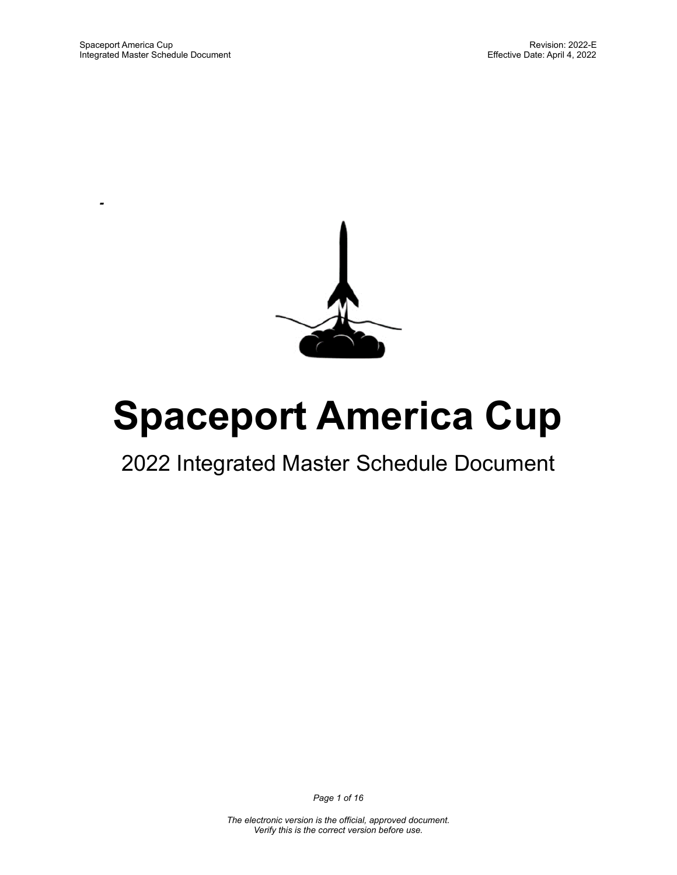*-*



# **Spaceport America Cup**

## 2022 Integrated Master Schedule Document

*Page 1 of 16*

*The electronic version is the official, approved document. Verify this is the correct version before use.*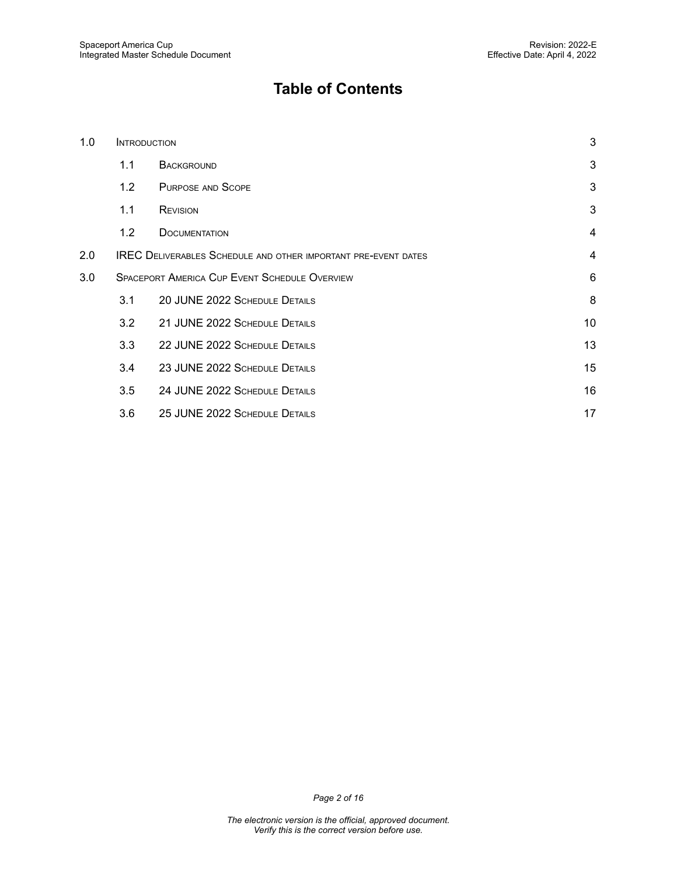### **Table of Contents**

| 1.0 |                                                                                         | <b>INTRODUCTION</b>           |                |
|-----|-----------------------------------------------------------------------------------------|-------------------------------|----------------|
|     | 1.1                                                                                     | <b>BACKGROUND</b>             | 3              |
|     | 1.2                                                                                     | <b>PURPOSE AND SCOPE</b>      | 3              |
|     | 1.1                                                                                     | <b>REVISION</b>               | 3              |
|     | 1.2                                                                                     | <b>DOCUMENTATION</b>          | $\overline{4}$ |
| 2.0 | $\overline{4}$<br><b>IREC DELIVERABLES SCHEDULE AND OTHER IMPORTANT PRE-EVENT DATES</b> |                               |                |
| 3.0 | <b>SPACEPORT AMERICA CUP EVENT SCHEDULE OVERVIEW</b>                                    |                               | 6              |
|     | 3.1                                                                                     | 20 JUNE 2022 SCHEDULE DETAILS | 8              |
|     | 3.2                                                                                     | 21 JUNE 2022 SCHEDULE DETAILS | 10             |
|     | 3.3                                                                                     | 22 JUNE 2022 SCHEDULE DETAILS | 13             |
|     | 3.4                                                                                     | 23 JUNE 2022 SCHEDULE DETAILS | 15             |
|     | 3.5                                                                                     | 24 JUNE 2022 SCHEDULE DETAILS | 16             |
|     | 3.6                                                                                     | 25 JUNE 2022 SCHEDULE DETAILS | 17             |

*Page 2 of 16*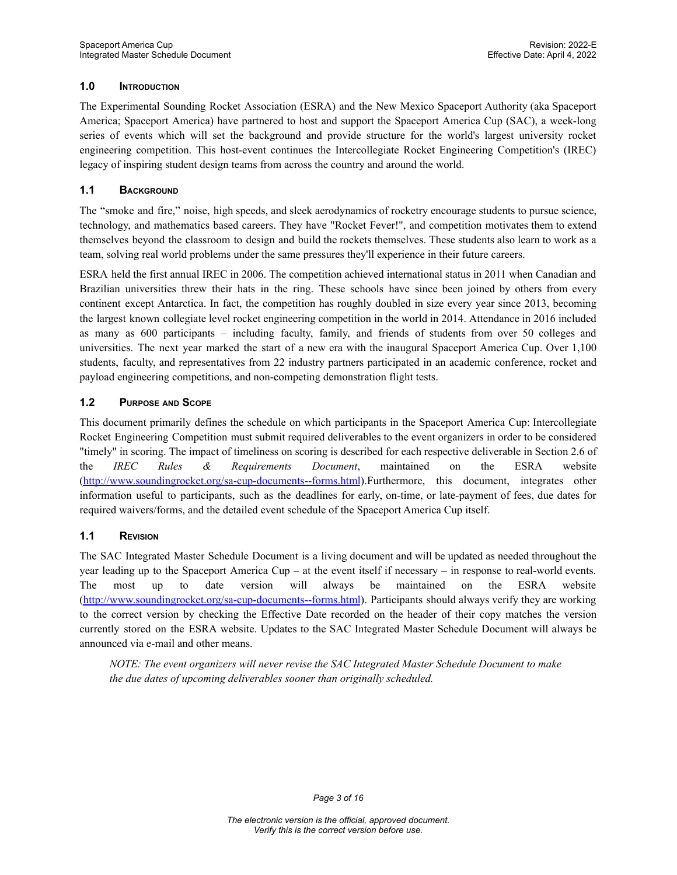#### <span id="page-2-0"></span>**1.0 INTRODUCTION**

The Experimental Sounding Rocket Association (ESRA) and the New Mexico Spaceport Authority (aka Spaceport America; Spaceport America) have partnered to host and support the Spaceport America Cup (SAC), a week-long series of events which will set the background and provide structure for the world's largest university rocket engineering competition. This host-event continues the Intercollegiate Rocket Engineering Competition's (IREC) legacy of inspiring student design teams from across the country and around the world.

#### <span id="page-2-1"></span>**1.1 BACKGROUND**

The "smoke and fire," noise, high speeds, and sleek aerodynamics of rocketry encourage students to pursue science, technology, and mathematics based careers. They have "Rocket Fever!", and competition motivates them to extend themselves beyond the classroom to design and build the rockets themselves. These students also learn to work as a team, solving real world problems under the same pressures they'll experience in their future careers.

ESRA held the first annual IREC in 2006. The competition achieved international status in 2011 when Canadian and Brazilian universities threw their hats in the ring. These schools have since been joined by others from every continent except Antarctica. In fact, the competition has roughly doubled in size every year since 2013, becoming the largest known collegiate level rocket engineering competition in the world in 2014. Attendance in 2016 included as many as 600 participants – including faculty, family, and friends of students from over 50 colleges and universities. The next year marked the start of a new era with the inaugural Spaceport America Cup. Over 1,100 students, faculty, and representatives from 22 industry partners participated in an academic conference, rocket and payload engineering competitions, and non-competing demonstration flight tests.

#### <span id="page-2-2"></span>**1.2 PURPOSE AND SCOPE**

This document primarily defines the schedule on which participants in the Spaceport America Cup: Intercollegiate Rocket Engineering Competition must submit required deliverables to the event organizers in order to be considered "timely" in scoring. The impact of timeliness on scoring is described for each respective deliverable in Section 2.6 of the *IREC Rules & Requirements Document*, maintained on the ESRA website [\(http://www.soundingrocket.org/sa-cup-documents--forms.html](http://www.soundingrocket.org/sa-cup-documents--forms.html)).Furthermore, this document, integrates other information useful to participants, such as the deadlines for early, on-time, or late-payment of fees, due dates for required waivers/forms, and the detailed event schedule of the Spaceport America Cup itself.

#### <span id="page-2-3"></span>**1.1 REVISION**

The SAC Integrated Master Schedule Document is a living document and will be updated as needed throughout the year leading up to the Spaceport America Cup – at the event itself if necessary – in response to real-world events. The most up to date version will always be maintained on the ESRA website [\(http://www.soundingrocket.org/sa-cup-documents--forms.html](http://www.soundingrocket.org/sa-cup-documents--forms.html)). Participants should always verify they are working to the correct version by checking the Effective Date recorded on the header of their copy matches the version currently stored on the ESRA website. Updates to the SAC Integrated Master Schedule Document will always be announced via e-mail and other means.

*NOTE: The event organizers will never revise the SAC Integrated Master Schedule Document to make the due dates of upcoming deliverables sooner than originally scheduled.*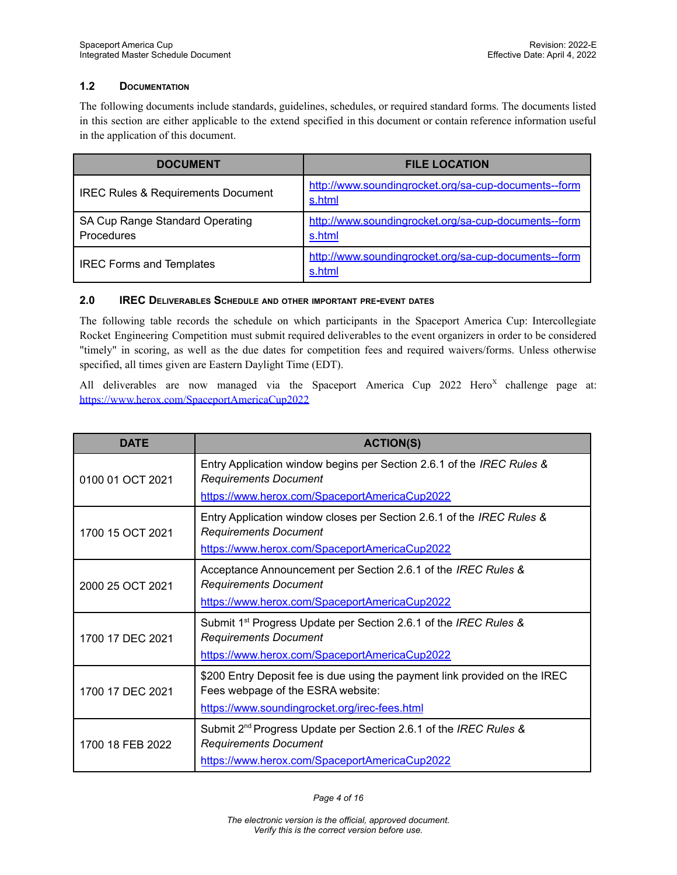#### <span id="page-3-0"></span>**1.2 DOCUMENTATION**

The following documents include standards, guidelines, schedules, or required standard forms. The documents listed in this section are either applicable to the extend specified in this document or contain reference information useful in the application of this document.

| <b>DOCUMENT</b>                                      | <b>FILE LOCATION</b>                                           |
|------------------------------------------------------|----------------------------------------------------------------|
| <b>IREC Rules &amp; Requirements Document</b>        | http://www.soundingrocket.org/sa-cup-documents--form<br>s.html |
| SA Cup Range Standard Operating<br><b>Procedures</b> | http://www.soundingrocket.org/sa-cup-documents--form<br>s.html |
| <b>IREC Forms and Templates</b>                      | http://www.soundingrocket.org/sa-cup-documents--form<br>s.html |

#### <span id="page-3-1"></span>**2.0 IREC DELIVERABLES SCHEDULE AND OTHER IMPORTANT PRE-EVENT DATES**

The following table records the schedule on which participants in the Spaceport America Cup: Intercollegiate Rocket Engineering Competition must submit required deliverables to the event organizers in order to be considered "timely" in scoring, as well as the due dates for competition fees and required waivers/forms. Unless otherwise specified, all times given are Eastern Daylight Time (EDT).

All deliverables are now managed via the Spaceport America Cup 2022 Hero<sup>x</sup> challenge page at: <https://www.herox.com/SpaceportAmericaCup2022>

| <b>DATE</b>                          | <b>ACTION(S)</b>                                                                                                        |
|--------------------------------------|-------------------------------------------------------------------------------------------------------------------------|
| 0100 01 OCT 2021                     | Entry Application window begins per Section 2.6.1 of the IREC Rules &<br><b>Requirements Document</b>                   |
|                                      | https://www.herox.com/SpaceportAmericaCup2022                                                                           |
| 1700 15 OCT 2021                     | Entry Application window closes per Section 2.6.1 of the IREC Rules &<br><b>Requirements Document</b>                   |
|                                      | https://www.herox.com/SpaceportAmericaCup2022                                                                           |
| 2000 25 OCT 2021                     | Acceptance Announcement per Section 2.6.1 of the IREC Rules &<br><b>Requirements Document</b>                           |
|                                      | https://www.herox.com/SpaceportAmericaCup2022                                                                           |
| 1700 17 DEC 2021                     | Submit 1 <sup>st</sup> Progress Update per Section 2.6.1 of the IREC Rules &<br><b>Requirements Document</b>            |
| 1700 17 DEC 2021<br>1700 18 FFB 2022 | https://www.herox.com/SpaceportAmericaCup2022                                                                           |
|                                      | \$200 Entry Deposit fee is due using the payment link provided on the IREC<br>Fees webpage of the ESRA website:         |
|                                      | https://www.soundingrocket.org/irec-fees.html                                                                           |
|                                      | Submit 2 <sup>nd</sup> Progress Update per Section 2.6.1 of the <i>IREC Rules &amp;</i><br><b>Requirements Document</b> |
|                                      | https://www.herox.com/SpaceportAmericaCup2022                                                                           |

*Page 4 of 16*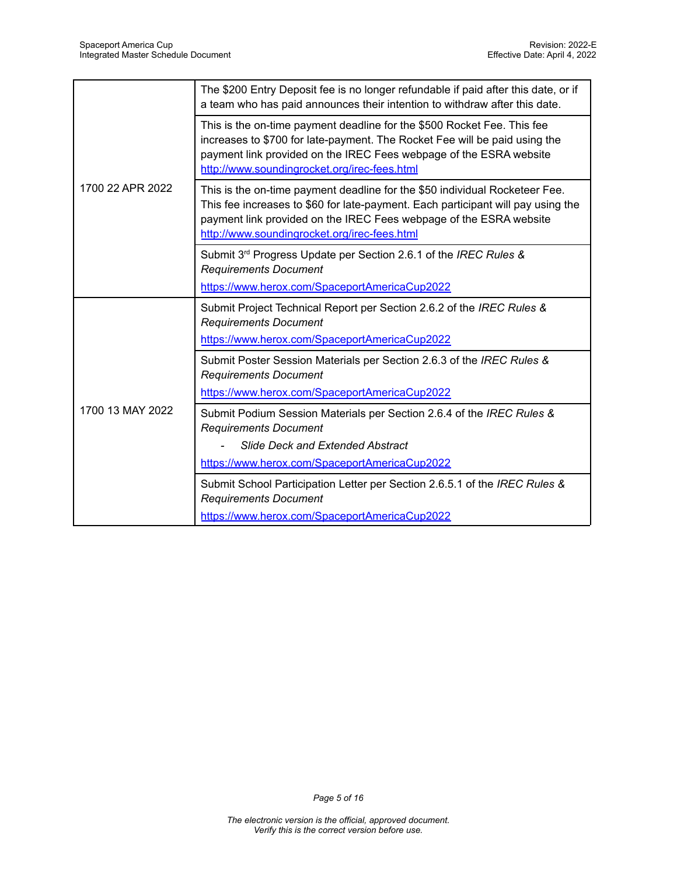|                  | The \$200 Entry Deposit fee is no longer refundable if paid after this date, or if<br>a team who has paid announces their intention to withdraw after this date.                                                                                                                      |
|------------------|---------------------------------------------------------------------------------------------------------------------------------------------------------------------------------------------------------------------------------------------------------------------------------------|
|                  | This is the on-time payment deadline for the \$500 Rocket Fee. This fee<br>increases to \$700 for late-payment. The Rocket Fee will be paid using the<br>payment link provided on the IREC Fees webpage of the ESRA website<br>http://www.soundingrocket.org/irec-fees.html           |
| 1700 22 APR 2022 | This is the on-time payment deadline for the \$50 individual Rocketeer Fee.<br>This fee increases to \$60 for late-payment. Each participant will pay using the<br>payment link provided on the IREC Fees webpage of the ESRA website<br>http://www.soundingrocket.org/irec-fees.html |
|                  | Submit 3rd Progress Update per Section 2.6.1 of the IREC Rules &<br><b>Requirements Document</b><br>https://www.herox.com/SpaceportAmericaCup2022                                                                                                                                     |
|                  |                                                                                                                                                                                                                                                                                       |
|                  | Submit Project Technical Report per Section 2.6.2 of the IREC Rules &<br><b>Requirements Document</b>                                                                                                                                                                                 |
|                  | https://www.herox.com/SpaceportAmericaCup2022                                                                                                                                                                                                                                         |
|                  | Submit Poster Session Materials per Section 2.6.3 of the IREC Rules &<br><b>Requirements Document</b>                                                                                                                                                                                 |
|                  | https://www.herox.com/SpaceportAmericaCup2022                                                                                                                                                                                                                                         |
| 1700 13 MAY 2022 | Submit Podium Session Materials per Section 2.6.4 of the IREC Rules &<br><b>Requirements Document</b>                                                                                                                                                                                 |
|                  | <b>Slide Deck and Extended Abstract</b>                                                                                                                                                                                                                                               |
|                  | https://www.herox.com/SpaceportAmericaCup2022                                                                                                                                                                                                                                         |
|                  | Submit School Participation Letter per Section 2.6.5.1 of the IREC Rules &<br><b>Requirements Document</b>                                                                                                                                                                            |
|                  | https://www.herox.com/SpaceportAmericaCup2022                                                                                                                                                                                                                                         |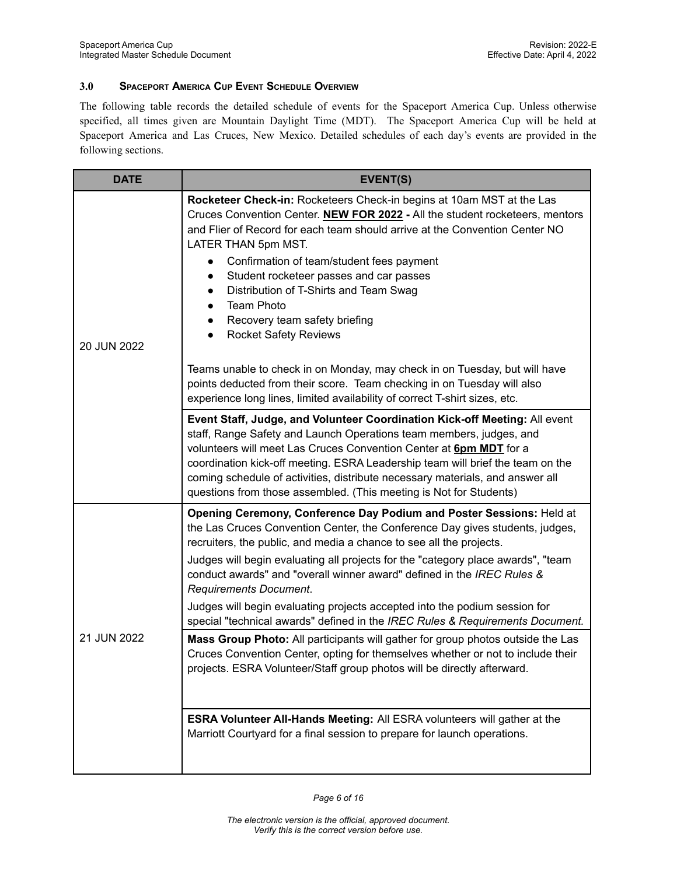#### <span id="page-5-0"></span>**3.0 SPACEPORT AMERICA CUP EVENT SCHEDULE OVERVIEW**

The following table records the detailed schedule of events for the Spaceport America Cup. Unless otherwise specified, all times given are Mountain Daylight Time (MDT). The Spaceport America Cup will be held at Spaceport America and Las Cruces, New Mexico. Detailed schedules of each day's events are provided in the following sections.

| <b>DATE</b> | EVENT(S)                                                                                                                                                                                                                                                                                                                                                                                                                                                                                                                   |
|-------------|----------------------------------------------------------------------------------------------------------------------------------------------------------------------------------------------------------------------------------------------------------------------------------------------------------------------------------------------------------------------------------------------------------------------------------------------------------------------------------------------------------------------------|
| 20 JUN 2022 | Rocketeer Check-in: Rocketeers Check-in begins at 10am MST at the Las<br>Cruces Convention Center. NEW FOR 2022 - All the student rocketeers, mentors<br>and Flier of Record for each team should arrive at the Convention Center NO<br>LATER THAN 5pm MST.<br>Confirmation of team/student fees payment<br>Student rocketeer passes and car passes<br>Distribution of T-Shirts and Team Swag<br>$\bullet$<br><b>Team Photo</b><br>$\bullet$<br>Recovery team safety briefing<br>$\bullet$<br><b>Rocket Safety Reviews</b> |
|             | Teams unable to check in on Monday, may check in on Tuesday, but will have<br>points deducted from their score. Team checking in on Tuesday will also<br>experience long lines, limited availability of correct T-shirt sizes, etc.                                                                                                                                                                                                                                                                                        |
|             | Event Staff, Judge, and Volunteer Coordination Kick-off Meeting: All event<br>staff, Range Safety and Launch Operations team members, judges, and<br>volunteers will meet Las Cruces Convention Center at <b>6pm MDT</b> for a<br>coordination kick-off meeting. ESRA Leadership team will brief the team on the<br>coming schedule of activities, distribute necessary materials, and answer all<br>questions from those assembled. (This meeting is Not for Students)                                                    |
|             | Opening Ceremony, Conference Day Podium and Poster Sessions: Held at<br>the Las Cruces Convention Center, the Conference Day gives students, judges,<br>recruiters, the public, and media a chance to see all the projects.<br>Judges will begin evaluating all projects for the "category place awards", "team<br>conduct awards" and "overall winner award" defined in the IREC Rules &<br><b>Requirements Document.</b>                                                                                                 |
| 21 JUN 2022 | Judges will begin evaluating projects accepted into the podium session for<br>special "technical awards" defined in the IREC Rules & Requirements Document.<br>Mass Group Photo: All participants will gather for group photos outside the Las                                                                                                                                                                                                                                                                             |
|             | Cruces Convention Center, opting for themselves whether or not to include their<br>projects. ESRA Volunteer/Staff group photos will be directly afterward.                                                                                                                                                                                                                                                                                                                                                                 |
|             | <b>ESRA Volunteer All-Hands Meeting: All ESRA volunteers will gather at the</b><br>Marriott Courtyard for a final session to prepare for launch operations.                                                                                                                                                                                                                                                                                                                                                                |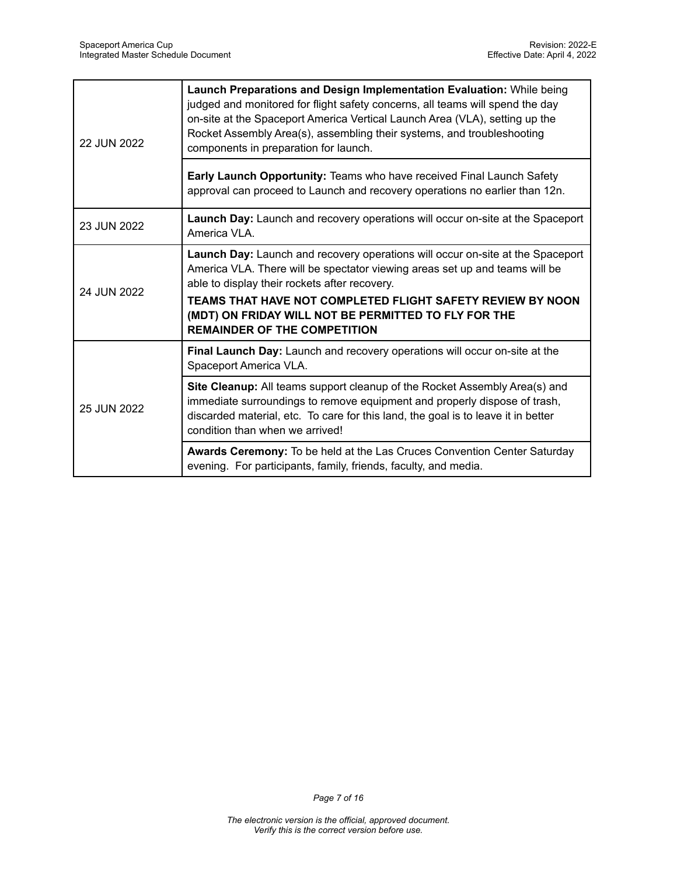| 22 JUN 2022 | Launch Preparations and Design Implementation Evaluation: While being<br>judged and monitored for flight safety concerns, all teams will spend the day<br>on-site at the Spaceport America Vertical Launch Area (VLA), setting up the<br>Rocket Assembly Area(s), assembling their systems, and troubleshooting<br>components in preparation for launch.                    |
|-------------|-----------------------------------------------------------------------------------------------------------------------------------------------------------------------------------------------------------------------------------------------------------------------------------------------------------------------------------------------------------------------------|
|             | Early Launch Opportunity: Teams who have received Final Launch Safety<br>approval can proceed to Launch and recovery operations no earlier than 12n.                                                                                                                                                                                                                        |
| 23 JUN 2022 | Launch Day: Launch and recovery operations will occur on-site at the Spaceport<br>America VLA.                                                                                                                                                                                                                                                                              |
| 24 JUN 2022 | Launch Day: Launch and recovery operations will occur on-site at the Spaceport<br>America VLA. There will be spectator viewing areas set up and teams will be<br>able to display their rockets after recovery.<br>TEAMS THAT HAVE NOT COMPLETED FLIGHT SAFETY REVIEW BY NOON<br>(MDT) ON FRIDAY WILL NOT BE PERMITTED TO FLY FOR THE<br><b>REMAINDER OF THE COMPETITION</b> |
|             | Final Launch Day: Launch and recovery operations will occur on-site at the<br>Spaceport America VLA.                                                                                                                                                                                                                                                                        |
| 25 JUN 2022 | Site Cleanup: All teams support cleanup of the Rocket Assembly Area(s) and<br>immediate surroundings to remove equipment and properly dispose of trash,<br>discarded material, etc. To care for this land, the goal is to leave it in better<br>condition than when we arrived!                                                                                             |
|             | Awards Ceremony: To be held at the Las Cruces Convention Center Saturday<br>evening. For participants, family, friends, faculty, and media.                                                                                                                                                                                                                                 |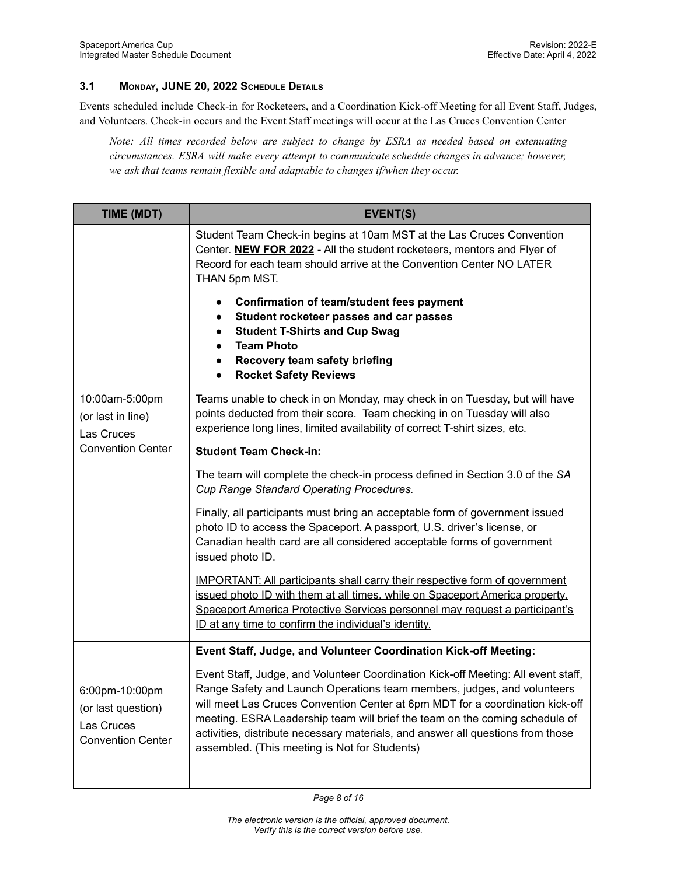#### <span id="page-7-0"></span>**3.1 MONDAY, JUNE 20, 2022 SCHEDULE DETAILS**

Events scheduled include Check-in for Rocketeers, and a Coordination Kick-off Meeting for all Event Staff, Judges, and Volunteers. Check-in occurs and the Event Staff meetings will occur at the Las Cruces Convention Center

*Note: All times recorded below are subject to change by ESRA as needed based on extenuating circumstances. ESRA will make every attempt to communicate schedule changes in advance; however, we ask that teams remain flexible and adaptable to changes if/when they occur.*

| TIME (MDT)                                                                     | EVENT(S)                                                                                                                                                                                                                                                                                                                                                                                                                                                         |
|--------------------------------------------------------------------------------|------------------------------------------------------------------------------------------------------------------------------------------------------------------------------------------------------------------------------------------------------------------------------------------------------------------------------------------------------------------------------------------------------------------------------------------------------------------|
|                                                                                | Student Team Check-in begins at 10am MST at the Las Cruces Convention<br>Center. <b>NEW FOR 2022</b> - All the student rocketeers, mentors and Flyer of<br>Record for each team should arrive at the Convention Center NO LATER<br>THAN 5pm MST.                                                                                                                                                                                                                 |
|                                                                                | <b>Confirmation of team/student fees payment</b><br>Student rocketeer passes and car passes<br><b>Student T-Shirts and Cup Swag</b><br><b>Team Photo</b><br>Recovery team safety briefing<br>$\bullet$<br><b>Rocket Safety Reviews</b><br>$\bullet$                                                                                                                                                                                                              |
| 10:00am-5:00pm<br>(or last in line)<br>Las Cruces                              | Teams unable to check in on Monday, may check in on Tuesday, but will have<br>points deducted from their score. Team checking in on Tuesday will also<br>experience long lines, limited availability of correct T-shirt sizes, etc.                                                                                                                                                                                                                              |
| <b>Convention Center</b>                                                       | <b>Student Team Check-in:</b>                                                                                                                                                                                                                                                                                                                                                                                                                                    |
|                                                                                | The team will complete the check-in process defined in Section 3.0 of the SA<br>Cup Range Standard Operating Procedures.                                                                                                                                                                                                                                                                                                                                         |
|                                                                                | Finally, all participants must bring an acceptable form of government issued<br>photo ID to access the Spaceport. A passport, U.S. driver's license, or<br>Canadian health card are all considered acceptable forms of government<br>issued photo ID.                                                                                                                                                                                                            |
|                                                                                | <b>IMPORTANT: All participants shall carry their respective form of government</b><br>issued photo ID with them at all times, while on Spaceport America property.<br>Spaceport America Protective Services personnel may request a participant's<br>ID at any time to confirm the individual's identity.                                                                                                                                                        |
|                                                                                | Event Staff, Judge, and Volunteer Coordination Kick-off Meeting:                                                                                                                                                                                                                                                                                                                                                                                                 |
| 6:00pm-10:00pm<br>(or last question)<br>Las Cruces<br><b>Convention Center</b> | Event Staff, Judge, and Volunteer Coordination Kick-off Meeting: All event staff,<br>Range Safety and Launch Operations team members, judges, and volunteers<br>will meet Las Cruces Convention Center at 6pm MDT for a coordination kick-off<br>meeting. ESRA Leadership team will brief the team on the coming schedule of<br>activities, distribute necessary materials, and answer all questions from those<br>assembled. (This meeting is Not for Students) |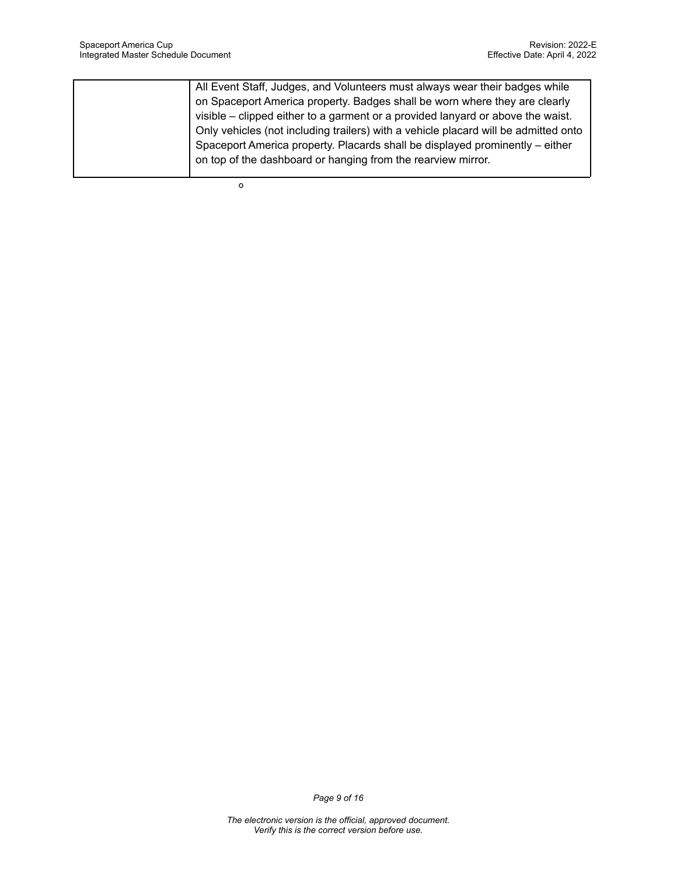| All Event Staff, Judges, and Volunteers must always wear their badges while         |
|-------------------------------------------------------------------------------------|
| on Spaceport America property. Badges shall be worn where they are clearly          |
| visible – clipped either to a garment or a provided lanyard or above the waist.     |
| Only vehicles (not including trailers) with a vehicle placard will be admitted onto |
| Spaceport America property. Placards shall be displayed prominently - either        |
| on top of the dashboard or hanging from the rearview mirror.                        |
|                                                                                     |

**O**

*Page 9 of 16*

*The electronic version is the official, approved document. Verify this is the correct version before use.*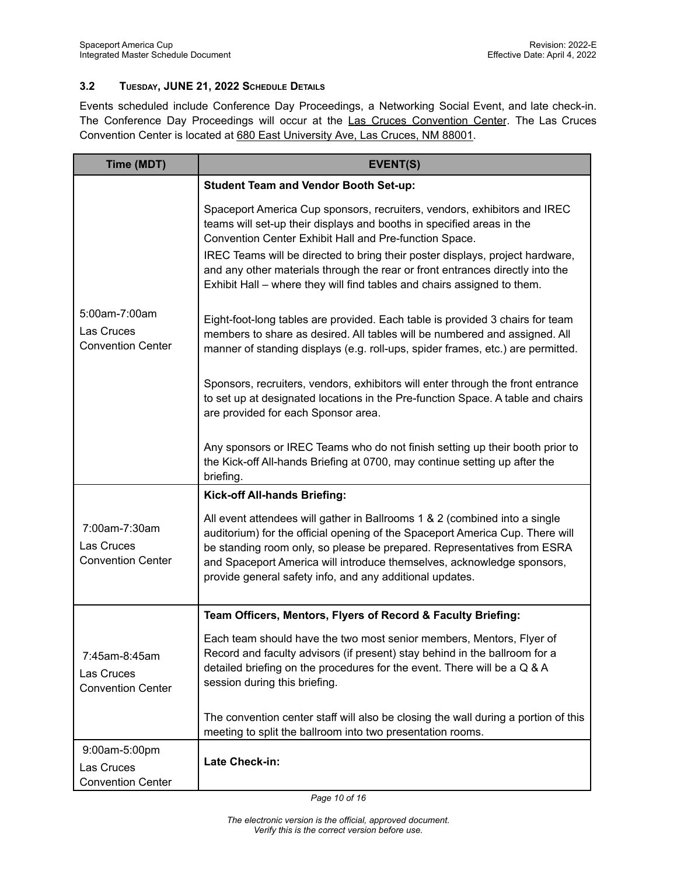#### <span id="page-9-0"></span>**3.2 TUESDAY, JUNE 21, 2022 SCHEDULE DETAILS**

Events scheduled include Conference Day Proceedings, a Networking Social Event, and late check-in. The Conference Day Proceedings will occur at the Las Cruces Convention Center. The Las Cruces Convention Center is located at 680 East University Ave, Las Cruces, NM 88001.

| Time (MDT)                                              | <b>EVENT(S)</b>                                                                                                                                                                                                                                                                                                                                                                                                                                          |
|---------------------------------------------------------|----------------------------------------------------------------------------------------------------------------------------------------------------------------------------------------------------------------------------------------------------------------------------------------------------------------------------------------------------------------------------------------------------------------------------------------------------------|
|                                                         | <b>Student Team and Vendor Booth Set-up:</b>                                                                                                                                                                                                                                                                                                                                                                                                             |
|                                                         | Spaceport America Cup sponsors, recruiters, vendors, exhibitors and IREC<br>teams will set-up their displays and booths in specified areas in the<br>Convention Center Exhibit Hall and Pre-function Space.<br>IREC Teams will be directed to bring their poster displays, project hardware,<br>and any other materials through the rear or front entrances directly into the<br>Exhibit Hall – where they will find tables and chairs assigned to them. |
| 5:00am-7:00am<br>Las Cruces<br><b>Convention Center</b> | Eight-foot-long tables are provided. Each table is provided 3 chairs for team<br>members to share as desired. All tables will be numbered and assigned. All<br>manner of standing displays (e.g. roll-ups, spider frames, etc.) are permitted.                                                                                                                                                                                                           |
|                                                         | Sponsors, recruiters, vendors, exhibitors will enter through the front entrance<br>to set up at designated locations in the Pre-function Space. A table and chairs<br>are provided for each Sponsor area.                                                                                                                                                                                                                                                |
|                                                         | Any sponsors or IREC Teams who do not finish setting up their booth prior to<br>the Kick-off All-hands Briefing at 0700, may continue setting up after the<br>briefing.                                                                                                                                                                                                                                                                                  |
|                                                         | Kick-off All-hands Briefing:                                                                                                                                                                                                                                                                                                                                                                                                                             |
| 7:00am-7:30am<br>Las Cruces<br><b>Convention Center</b> | All event attendees will gather in Ballrooms 1 & 2 (combined into a single<br>auditorium) for the official opening of the Spaceport America Cup. There will<br>be standing room only, so please be prepared. Representatives from ESRA<br>and Spaceport America will introduce themselves, acknowledge sponsors,<br>provide general safety info, and any additional updates.                                                                             |
|                                                         | Team Officers, Mentors, Flyers of Record & Faculty Briefing:                                                                                                                                                                                                                                                                                                                                                                                             |
| 7:45am-8:45am<br>Las Cruces<br><b>Convention Center</b> | Each team should have the two most senior members, Mentors, Flyer of<br>Record and faculty advisors (if present) stay behind in the ballroom for a<br>detailed briefing on the procedures for the event. There will be a Q & A<br>session during this briefing.                                                                                                                                                                                          |
|                                                         | The convention center staff will also be closing the wall during a portion of this<br>meeting to split the ballroom into two presentation rooms.                                                                                                                                                                                                                                                                                                         |
| 9:00am-5:00pm<br>Las Cruces<br><b>Convention Center</b> | Late Check-in:                                                                                                                                                                                                                                                                                                                                                                                                                                           |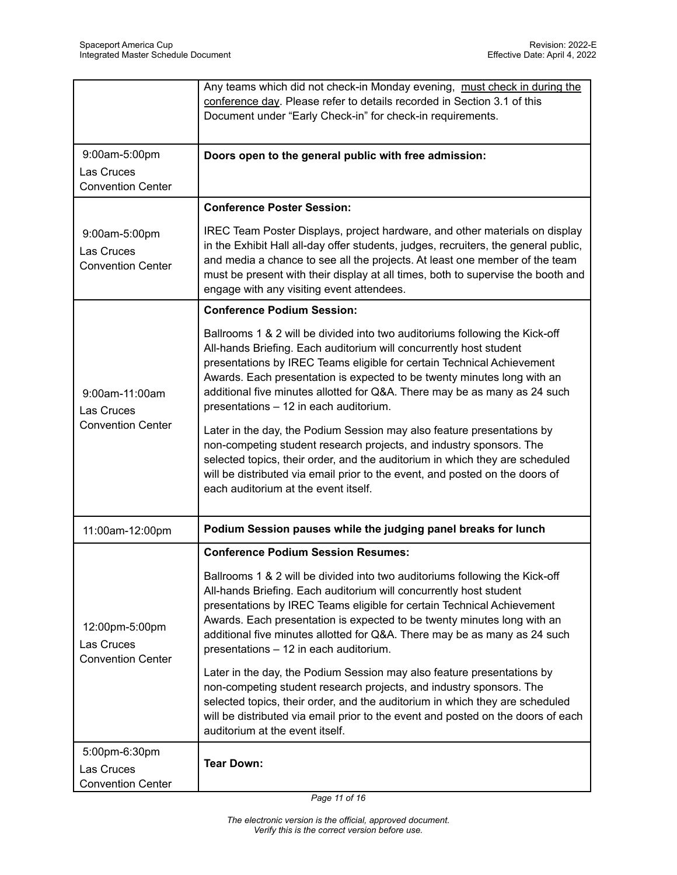|                                                          | Any teams which did not check-in Monday evening, must check in during the<br>conference day. Please refer to details recorded in Section 3.1 of this<br>Document under "Early Check-in" for check-in requirements.                                                                                                                                                                                                            |
|----------------------------------------------------------|-------------------------------------------------------------------------------------------------------------------------------------------------------------------------------------------------------------------------------------------------------------------------------------------------------------------------------------------------------------------------------------------------------------------------------|
| 9:00am-5:00pm<br>Las Cruces<br><b>Convention Center</b>  | Doors open to the general public with free admission:                                                                                                                                                                                                                                                                                                                                                                         |
|                                                          | <b>Conference Poster Session:</b>                                                                                                                                                                                                                                                                                                                                                                                             |
| 9:00am-5:00pm<br>Las Cruces<br><b>Convention Center</b>  | IREC Team Poster Displays, project hardware, and other materials on display<br>in the Exhibit Hall all-day offer students, judges, recruiters, the general public,<br>and media a chance to see all the projects. At least one member of the team<br>must be present with their display at all times, both to supervise the booth and<br>engage with any visiting event attendees.                                            |
|                                                          | <b>Conference Podium Session:</b>                                                                                                                                                                                                                                                                                                                                                                                             |
| 9:00am-11:00am<br>Las Cruces                             | Ballrooms 1 & 2 will be divided into two auditoriums following the Kick-off<br>All-hands Briefing. Each auditorium will concurrently host student<br>presentations by IREC Teams eligible for certain Technical Achievement<br>Awards. Each presentation is expected to be twenty minutes long with an<br>additional five minutes allotted for Q&A. There may be as many as 24 such<br>presentations - 12 in each auditorium. |
| <b>Convention Center</b>                                 | Later in the day, the Podium Session may also feature presentations by<br>non-competing student research projects, and industry sponsors. The<br>selected topics, their order, and the auditorium in which they are scheduled<br>will be distributed via email prior to the event, and posted on the doors of<br>each auditorium at the event itself.                                                                         |
| 11:00am-12:00pm                                          | Podium Session pauses while the judging panel breaks for lunch                                                                                                                                                                                                                                                                                                                                                                |
|                                                          | <b>Conference Podium Session Resumes:</b>                                                                                                                                                                                                                                                                                                                                                                                     |
| 12:00pm-5:00pm<br>Las Cruces<br><b>Convention Center</b> | Ballrooms 1 & 2 will be divided into two auditoriums following the Kick-off<br>All-hands Briefing. Each auditorium will concurrently host student<br>presentations by IREC Teams eligible for certain Technical Achievement<br>Awards. Each presentation is expected to be twenty minutes long with an<br>additional five minutes allotted for Q&A. There may be as many as 24 such<br>presentations - 12 in each auditorium. |
|                                                          | Later in the day, the Podium Session may also feature presentations by<br>non-competing student research projects, and industry sponsors. The<br>selected topics, their order, and the auditorium in which they are scheduled<br>will be distributed via email prior to the event and posted on the doors of each<br>auditorium at the event itself.                                                                          |
| 5:00pm-6:30pm<br>Las Cruces<br><b>Convention Center</b>  | <b>Tear Down:</b>                                                                                                                                                                                                                                                                                                                                                                                                             |

*Page 11 of 16*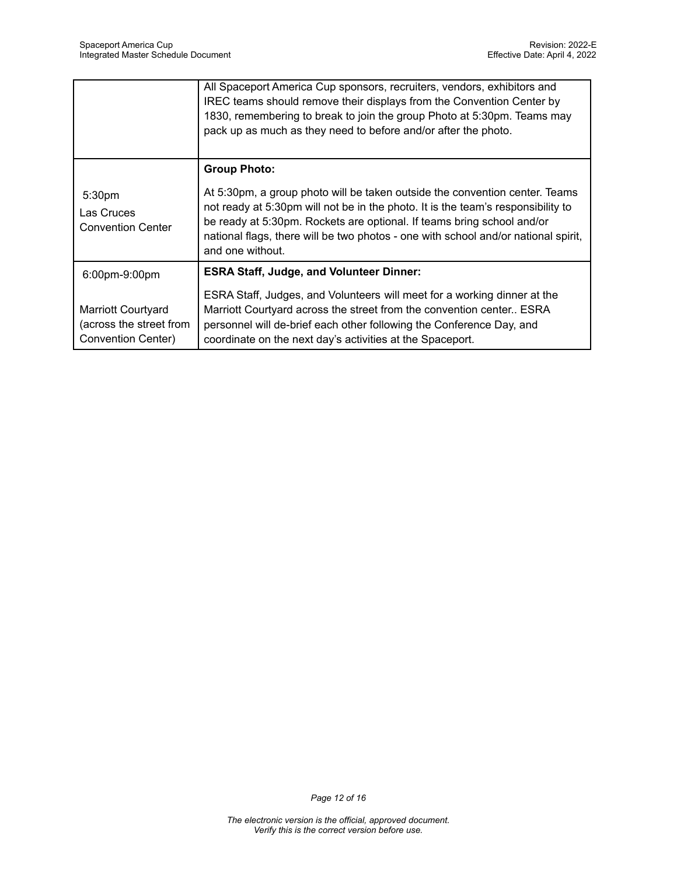|                                                                            | All Spaceport America Cup sponsors, recruiters, vendors, exhibitors and<br>IREC teams should remove their displays from the Convention Center by<br>1830, remembering to break to join the group Photo at 5:30pm. Teams may<br>pack up as much as they need to before and/or after the photo.                                                       |
|----------------------------------------------------------------------------|-----------------------------------------------------------------------------------------------------------------------------------------------------------------------------------------------------------------------------------------------------------------------------------------------------------------------------------------------------|
|                                                                            | <b>Group Photo:</b>                                                                                                                                                                                                                                                                                                                                 |
| 5:30pm<br>Las Cruces<br><b>Convention Center</b>                           | At 5:30pm, a group photo will be taken outside the convention center. Teams<br>not ready at 5:30pm will not be in the photo. It is the team's responsibility to<br>be ready at 5:30pm. Rockets are optional. If teams bring school and/or<br>national flags, there will be two photos - one with school and/or national spirit,<br>and one without. |
| 6:00pm-9:00pm                                                              | <b>ESRA Staff, Judge, and Volunteer Dinner:</b>                                                                                                                                                                                                                                                                                                     |
| <b>Marriott Courtyard</b><br>(across the street from<br>Convention Center) | ESRA Staff, Judges, and Volunteers will meet for a working dinner at the<br>Marriott Courtyard across the street from the convention center ESRA<br>personnel will de-brief each other following the Conference Day, and<br>coordinate on the next day's activities at the Spaceport.                                                               |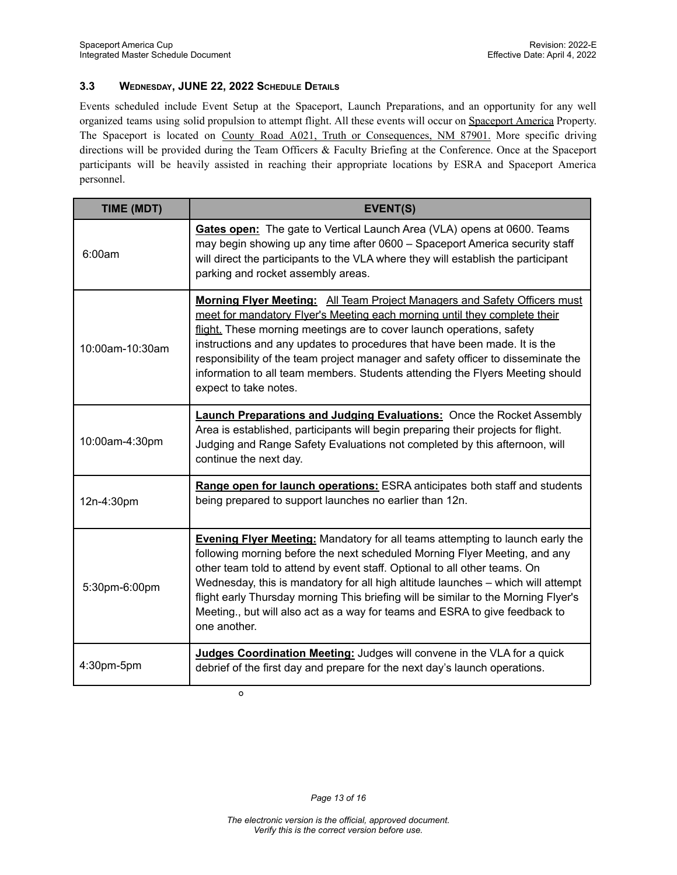#### <span id="page-12-0"></span>**3.3 WEDNESDAY, JUNE 22, 2022 SCHEDULE DETAILS**

Events scheduled include Event Setup at the Spaceport, Launch Preparations, and an opportunity for any well organized teams using solid propulsion to attempt flight. All these events will occur on Spaceport America Property. The Spaceport is located on County Road A021, Truth or Consequences, NM 87901. More specific driving directions will be provided during the Team Officers & Faculty Briefing at the Conference. Once at the Spaceport participants will be heavily assisted in reaching their appropriate locations by ESRA and Spaceport America personnel.

| TIME (MDT)      | <b>EVENT(S)</b>                                                                                                                                                                                                                                                                                                                                                                                                                                                                                                          |
|-----------------|--------------------------------------------------------------------------------------------------------------------------------------------------------------------------------------------------------------------------------------------------------------------------------------------------------------------------------------------------------------------------------------------------------------------------------------------------------------------------------------------------------------------------|
| 6:00am          | Gates open: The gate to Vertical Launch Area (VLA) opens at 0600. Teams<br>may begin showing up any time after 0600 - Spaceport America security staff<br>will direct the participants to the VLA where they will establish the participant<br>parking and rocket assembly areas.                                                                                                                                                                                                                                        |
| 10:00am-10:30am | Morning Flyer Meeting: All Team Project Managers and Safety Officers must<br>meet for mandatory Flyer's Meeting each morning until they complete their<br>flight. These morning meetings are to cover launch operations, safety<br>instructions and any updates to procedures that have been made. It is the<br>responsibility of the team project manager and safety officer to disseminate the<br>information to all team members. Students attending the Flyers Meeting should<br>expect to take notes.               |
| 10:00am-4:30pm  | <b>Launch Preparations and Judging Evaluations:</b> Once the Rocket Assembly<br>Area is established, participants will begin preparing their projects for flight.<br>Judging and Range Safety Evaluations not completed by this afternoon, will<br>continue the next day.                                                                                                                                                                                                                                                |
| 12n-4:30pm      | Range open for launch operations: ESRA anticipates both staff and students<br>being prepared to support launches no earlier than 12n.                                                                                                                                                                                                                                                                                                                                                                                    |
| 5:30pm-6:00pm   | <b>Evening Flyer Meeting:</b> Mandatory for all teams attempting to launch early the<br>following morning before the next scheduled Morning Flyer Meeting, and any<br>other team told to attend by event staff. Optional to all other teams. On<br>Wednesday, this is mandatory for all high altitude launches - which will attempt<br>flight early Thursday morning This briefing will be similar to the Morning Flyer's<br>Meeting., but will also act as a way for teams and ESRA to give feedback to<br>one another. |
| 4:30pm-5pm      | Judges Coordination Meeting: Judges will convene in the VLA for a quick<br>debrief of the first day and prepare for the next day's launch operations.                                                                                                                                                                                                                                                                                                                                                                    |

**O**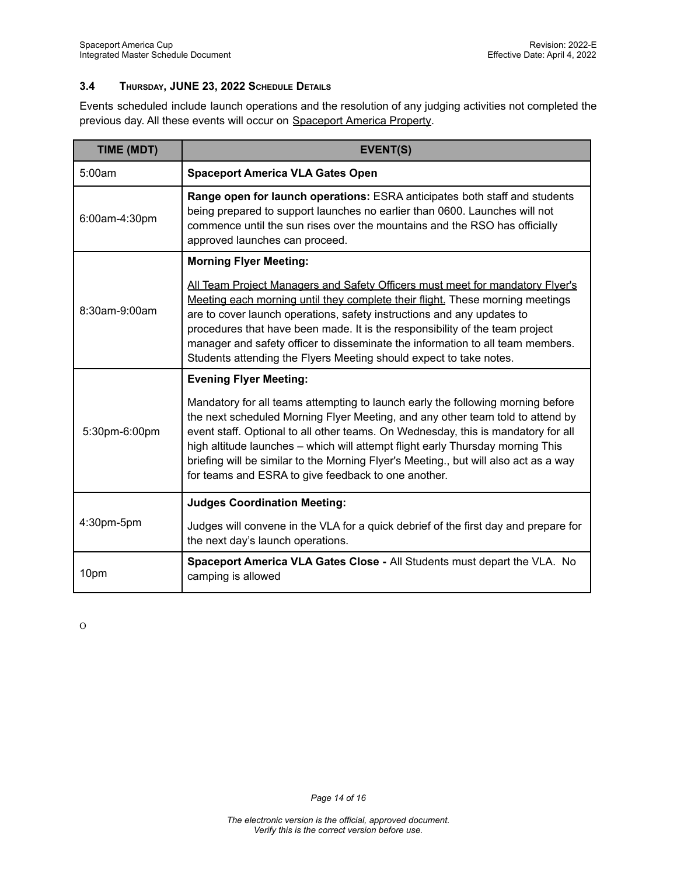#### <span id="page-13-0"></span>**3.4 THURSDAY, JUNE 23, 2022 SCHEDULE DETAILS**

Events scheduled include launch operations and the resolution of any judging activities not completed the previous day. All these events will occur on Spaceport America Property.

| TIME (MDT)    | <b>EVENT(S)</b>                                                                                                                                                                                                                                                                                                                                                                                                                                                                         |
|---------------|-----------------------------------------------------------------------------------------------------------------------------------------------------------------------------------------------------------------------------------------------------------------------------------------------------------------------------------------------------------------------------------------------------------------------------------------------------------------------------------------|
| 5:00am        | <b>Spaceport America VLA Gates Open</b>                                                                                                                                                                                                                                                                                                                                                                                                                                                 |
| 6:00am-4:30pm | <b>Range open for launch operations: ESRA anticipates both staff and students</b><br>being prepared to support launches no earlier than 0600. Launches will not<br>commence until the sun rises over the mountains and the RSO has officially<br>approved launches can proceed.                                                                                                                                                                                                         |
| 8:30am-9:00am | <b>Morning Flyer Meeting:</b>                                                                                                                                                                                                                                                                                                                                                                                                                                                           |
|               | All Team Project Managers and Safety Officers must meet for mandatory Flyer's<br>Meeting each morning until they complete their flight. These morning meetings<br>are to cover launch operations, safety instructions and any updates to<br>procedures that have been made. It is the responsibility of the team project<br>manager and safety officer to disseminate the information to all team members.<br>Students attending the Flyers Meeting should expect to take notes.        |
| 5:30pm-6:00pm | <b>Evening Flyer Meeting:</b>                                                                                                                                                                                                                                                                                                                                                                                                                                                           |
|               | Mandatory for all teams attempting to launch early the following morning before<br>the next scheduled Morning Flyer Meeting, and any other team told to attend by<br>event staff. Optional to all other teams. On Wednesday, this is mandatory for all<br>high altitude launches - which will attempt flight early Thursday morning This<br>briefing will be similar to the Morning Flyer's Meeting., but will also act as a way<br>for teams and ESRA to give feedback to one another. |
| 4:30pm-5pm    | <b>Judges Coordination Meeting:</b>                                                                                                                                                                                                                                                                                                                                                                                                                                                     |
|               | Judges will convene in the VLA for a quick debrief of the first day and prepare for<br>the next day's launch operations.                                                                                                                                                                                                                                                                                                                                                                |
| 10pm          | Spaceport America VLA Gates Close - All Students must depart the VLA. No<br>camping is allowed                                                                                                                                                                                                                                                                                                                                                                                          |

O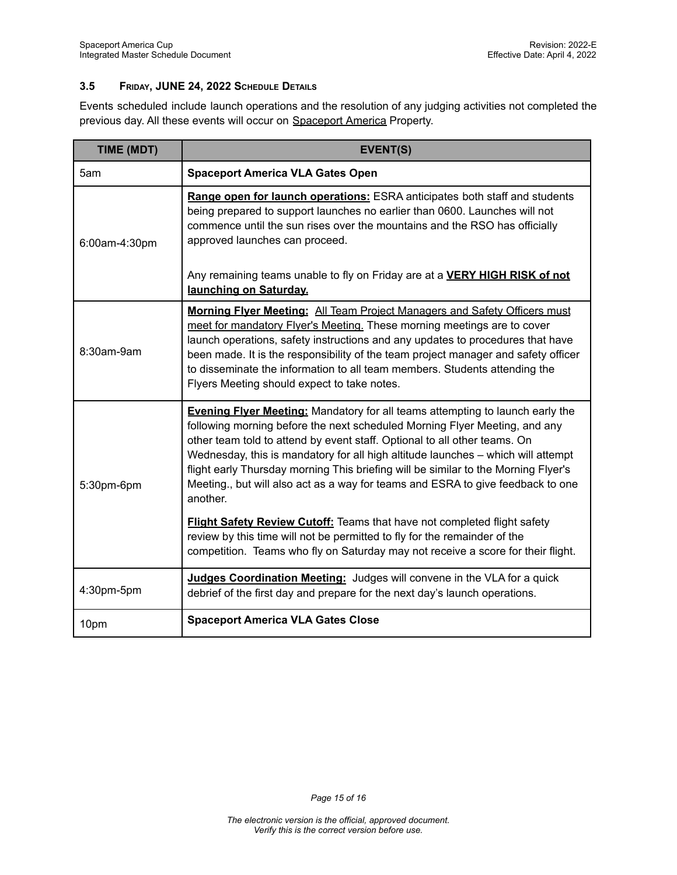#### <span id="page-14-0"></span>**3.5 FRIDAY, JUNE 24, 2022 SCHEDULE DETAILS**

Events scheduled include launch operations and the resolution of any judging activities not completed the previous day. All these events will occur on Spaceport America Property.

| TIME (MDT)    | <b>EVENT(S)</b>                                                                                                                                                                                                                                                                                                                                                                                                                                                                                                          |
|---------------|--------------------------------------------------------------------------------------------------------------------------------------------------------------------------------------------------------------------------------------------------------------------------------------------------------------------------------------------------------------------------------------------------------------------------------------------------------------------------------------------------------------------------|
| 5am           | <b>Spaceport America VLA Gates Open</b>                                                                                                                                                                                                                                                                                                                                                                                                                                                                                  |
| 6:00am-4:30pm | <b>Range open for launch operations:</b> ESRA anticipates both staff and students<br>being prepared to support launches no earlier than 0600. Launches will not<br>commence until the sun rises over the mountains and the RSO has officially<br>approved launches can proceed.<br>Any remaining teams unable to fly on Friday are at a <b>VERY HIGH RISK of not</b><br>launching on Saturday.                                                                                                                           |
| 8:30am-9am    | <b>Morning Flyer Meeting:</b> All Team Project Managers and Safety Officers must<br>meet for mandatory Flyer's Meeting. These morning meetings are to cover<br>launch operations, safety instructions and any updates to procedures that have<br>been made. It is the responsibility of the team project manager and safety officer<br>to disseminate the information to all team members. Students attending the<br>Flyers Meeting should expect to take notes.                                                         |
| 5:30pm-6pm    | <b>Evening Flyer Meeting:</b> Mandatory for all teams attempting to launch early the<br>following morning before the next scheduled Morning Flyer Meeting, and any<br>other team told to attend by event staff. Optional to all other teams. On<br>Wednesday, this is mandatory for all high altitude launches - which will attempt<br>flight early Thursday morning This briefing will be similar to the Morning Flyer's<br>Meeting., but will also act as a way for teams and ESRA to give feedback to one<br>another. |
|               | <b>Flight Safety Review Cutoff:</b> Teams that have not completed flight safety<br>review by this time will not be permitted to fly for the remainder of the<br>competition. Teams who fly on Saturday may not receive a score for their flight.                                                                                                                                                                                                                                                                         |
| 4:30pm-5pm    | Judges Coordination Meeting: Judges will convene in the VLA for a quick<br>debrief of the first day and prepare for the next day's launch operations.                                                                                                                                                                                                                                                                                                                                                                    |
| 10pm          | <b>Spaceport America VLA Gates Close</b>                                                                                                                                                                                                                                                                                                                                                                                                                                                                                 |